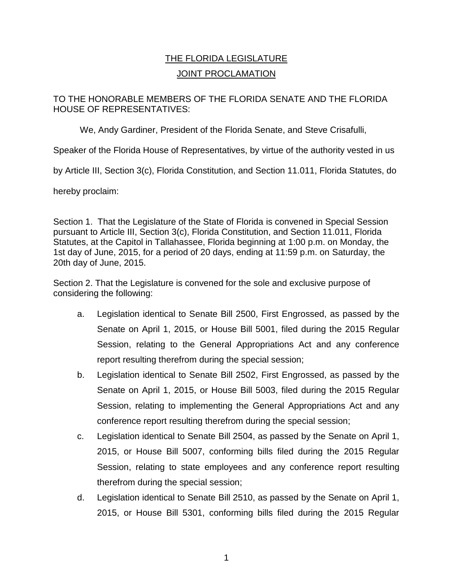## THE FLORIDA LEGISLATURE JOINT PROCLAMATION

TO THE HONORABLE MEMBERS OF THE FLORIDA SENATE AND THE FLORIDA HOUSE OF REPRESENTATIVES:

We, Andy Gardiner, President of the Florida Senate, and Steve Crisafulli,

Speaker of the Florida House of Representatives, by virtue of the authority vested in us

by Article III, Section 3(c), Florida Constitution, and Section 11.011, Florida Statutes, do

hereby proclaim:

Section 1. That the Legislature of the State of Florida is convened in Special Session pursuant to Article III, Section 3(c), Florida Constitution, and Section 11.011, Florida Statutes, at the Capitol in Tallahassee, Florida beginning at 1:00 p.m. on Monday, the 1st day of June, 2015, for a period of 20 days, ending at 11:59 p.m. on Saturday, the 20th day of June, 2015.

Section 2. That the Legislature is convened for the sole and exclusive purpose of considering the following:

- a. Legislation identical to Senate Bill 2500, First Engrossed, as passed by the Senate on April 1, 2015, or House Bill 5001, filed during the 2015 Regular Session, relating to the General Appropriations Act and any conference report resulting therefrom during the special session;
- b. Legislation identical to Senate Bill 2502, First Engrossed, as passed by the Senate on April 1, 2015, or House Bill 5003, filed during the 2015 Regular Session, relating to implementing the General Appropriations Act and any conference report resulting therefrom during the special session;
- c. Legislation identical to Senate Bill 2504, as passed by the Senate on April 1, 2015, or House Bill 5007, conforming bills filed during the 2015 Regular Session, relating to state employees and any conference report resulting therefrom during the special session;
- d. Legislation identical to Senate Bill 2510, as passed by the Senate on April 1, 2015, or House Bill 5301, conforming bills filed during the 2015 Regular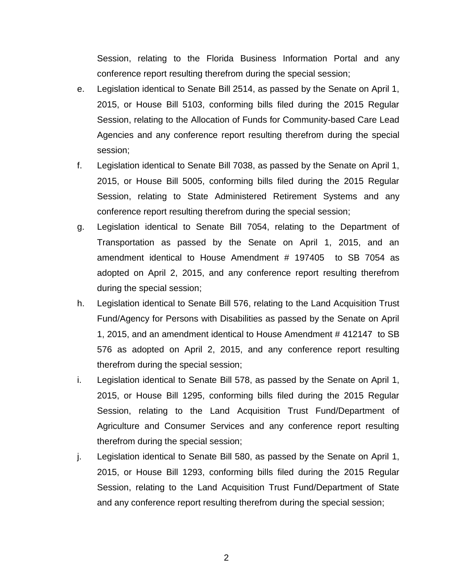Session, relating to the Florida Business Information Portal and any conference report resulting therefrom during the special session;

- e. Legislation identical to Senate Bill 2514, as passed by the Senate on April 1, 2015, or House Bill 5103, conforming bills filed during the 2015 Regular Session, relating to the Allocation of Funds for Community-based Care Lead Agencies and any conference report resulting therefrom during the special session;
- f. Legislation identical to Senate Bill 7038, as passed by the Senate on April 1, 2015, or House Bill 5005, conforming bills filed during the 2015 Regular Session, relating to State Administered Retirement Systems and any conference report resulting therefrom during the special session;
- g. Legislation identical to Senate Bill 7054, relating to the Department of Transportation as passed by the Senate on April 1, 2015, and an amendment identical to House Amendment # 197405 to SB 7054 as adopted on April 2, 2015, and any conference report resulting therefrom during the special session;
- h. Legislation identical to Senate Bill 576, relating to the Land Acquisition Trust Fund/Agency for Persons with Disabilities as passed by the Senate on April 1, 2015, and an amendment identical to House Amendment # 412147 to SB 576 as adopted on April 2, 2015, and any conference report resulting therefrom during the special session;
- i. Legislation identical to Senate Bill 578, as passed by the Senate on April 1, 2015, or House Bill 1295, conforming bills filed during the 2015 Regular Session, relating to the Land Acquisition Trust Fund/Department of Agriculture and Consumer Services and any conference report resulting therefrom during the special session;
- j. Legislation identical to Senate Bill 580, as passed by the Senate on April 1, 2015, or House Bill 1293, conforming bills filed during the 2015 Regular Session, relating to the Land Acquisition Trust Fund/Department of State and any conference report resulting therefrom during the special session;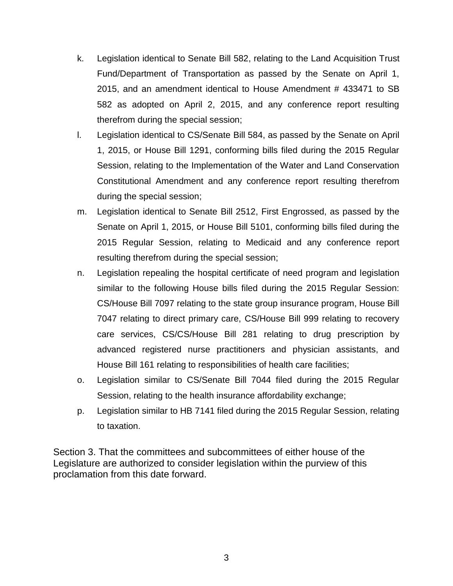- k. Legislation identical to Senate Bill 582, relating to the Land Acquisition Trust Fund/Department of Transportation as passed by the Senate on April 1, 2015, and an amendment identical to House Amendment # 433471 to SB 582 as adopted on April 2, 2015, and any conference report resulting therefrom during the special session;
- l. Legislation identical to CS/Senate Bill 584, as passed by the Senate on April 1, 2015, or House Bill 1291, conforming bills filed during the 2015 Regular Session, relating to the Implementation of the Water and Land Conservation Constitutional Amendment and any conference report resulting therefrom during the special session;
- m. Legislation identical to Senate Bill 2512, First Engrossed, as passed by the Senate on April 1, 2015, or House Bill 5101, conforming bills filed during the 2015 Regular Session, relating to Medicaid and any conference report resulting therefrom during the special session;
- n. Legislation repealing the hospital certificate of need program and legislation similar to the following House bills filed during the 2015 Regular Session: CS/House Bill 7097 relating to the state group insurance program, House Bill 7047 relating to direct primary care, CS/House Bill 999 relating to recovery care services, CS/CS/House Bill 281 relating to drug prescription by advanced registered nurse practitioners and physician assistants, and House Bill 161 relating to responsibilities of health care facilities;
- o. Legislation similar to CS/Senate Bill 7044 filed during the 2015 Regular Session, relating to the health insurance affordability exchange;
- p. Legislation similar to HB 7141 filed during the 2015 Regular Session, relating to taxation.

Section 3. That the committees and subcommittees of either house of the Legislature are authorized to consider legislation within the purview of this proclamation from this date forward.